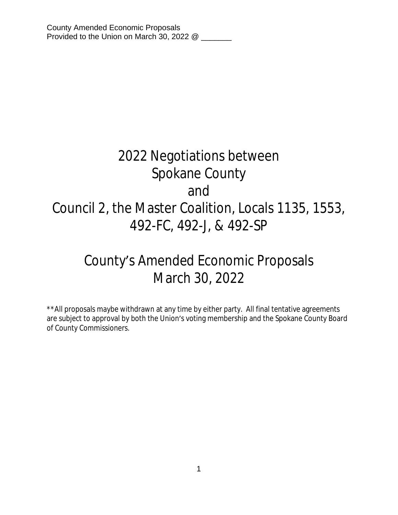# 2022 Negotiations between Spokane County and Council 2, the Master Coalition, Locals 1135, 1553, 492-FC, 492-J, & 492-SP

# County's Amended Economic Proposals March 30, 2022

\*\*All proposals maybe withdrawn at any time by either party. All final tentative agreements are subject to approval by both the Union's voting membership and the Spokane County Board of County Commissioners.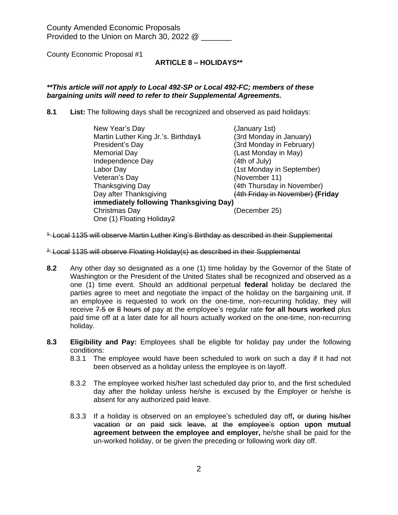# **ARTICLE 8 – HOLIDAYS\*\***

## *\*\*This article will not apply to Local 492-SP or Local 492-FC; members of these bargaining units will need to refer to their Supplemental Agreements.*

**8.1 List:** The following days shall be recognized and observed as paid holidays:

| New Year's Day<br>Martin Luther King Jr.'s. Birthday4<br>President's Day<br><b>Memorial Day</b><br>Independence Day<br>Labor Day<br>Veteran's Day<br><b>Thanksgiving Day</b><br>Day after Thanksgiving | (January 1st)<br>(3rd Monday in January)<br>(3rd Monday in February)<br>(Last Monday in May)<br>(4th of July)<br>(1st Monday in September)<br>(November 11)<br>(4th Thursday in November)<br>(4th Friday in November) (Friday |  |
|--------------------------------------------------------------------------------------------------------------------------------------------------------------------------------------------------------|-------------------------------------------------------------------------------------------------------------------------------------------------------------------------------------------------------------------------------|--|
| immediately following Thanksgiving Day)                                                                                                                                                                |                                                                                                                                                                                                                               |  |
| Christmas Day<br>One (1) Floating Holiday2                                                                                                                                                             | (December 25)                                                                                                                                                                                                                 |  |

<sup>1-</sup> Local 1135 will observe Martin Luther King's Birthday as described in their Supplemental

<sup>2.</sup> Local 1135 will observe Floating Holiday(s) as described in their Supplemental

- **8.2** Any other day so designated as a one (1) time holiday by the Governor of the State of Washington or the President of the United States shall be recognized and observed as a one (1) time event. Should an additional perpetual **federal** holiday be declared the parties agree to meet and negotiate the impact of the holiday on the bargaining unit. If an employee is requested to work on the one-time, non-recurring holiday, they will receive 7.5 or 8 hours of pay at the employee's regular rate **for all hours worked** plus paid time off at a later date for all hours actually worked on the one-time, non-recurring holiday.
- **8.3 Eligibility and Pay:** Employees shall be eligible for holiday pay under the following conditions:
	- 8.3.1 The employee would have been scheduled to work on such a day if it had not been observed as a holiday unless the employee is on layoff.
	- 8.3.2 The employee worked his/her last scheduled day prior to, and the first scheduled day after the holiday unless he/she is excused by the Employer or he/she is absent for any authorized paid leave.
	- 8.3.3 If a holiday is observed on an employee's scheduled day off**,** or during his/her vacation or on paid sick leave, at the employee's option **upon mutual agreement between the employee and employer,** he/she shall be paid for the un-worked holiday, or be given the preceding or following work day off.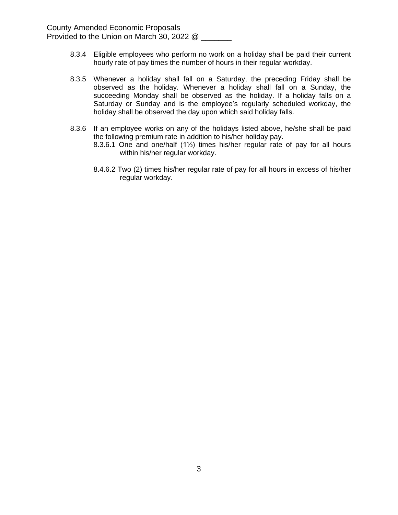- 8.3.4 Eligible employees who perform no work on a holiday shall be paid their current hourly rate of pay times the number of hours in their regular workday.
- 8.3.5 Whenever a holiday shall fall on a Saturday, the preceding Friday shall be observed as the holiday. Whenever a holiday shall fall on a Sunday, the succeeding Monday shall be observed as the holiday. If a holiday falls on a Saturday or Sunday and is the employee's regularly scheduled workday, the holiday shall be observed the day upon which said holiday falls.
- 8.3.6 If an employee works on any of the holidays listed above, he/she shall be paid the following premium rate in addition to his/her holiday pay.
	- 8.3.6.1 One and one/half (1½) times his/her regular rate of pay for all hours within his/her regular workday.
	- 8.4.6.2 Two (2) times his/her regular rate of pay for all hours in excess of his/her regular workday.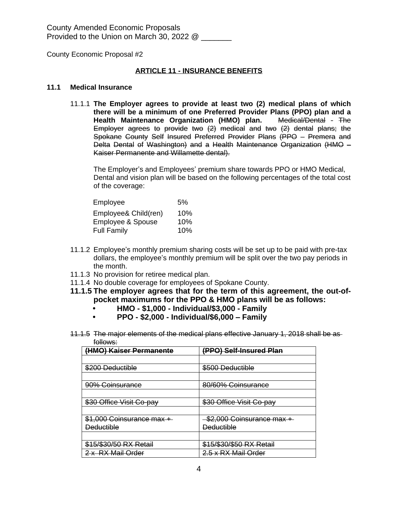## **ARTICLE 11 - INSURANCE BENEFITS**

#### **11.1 Medical Insurance**

11.1.1 **The Employer agrees to provide at least two (2) medical plans of which there will be a minimum of one Preferred Provider Plans (PPO) plan and a Health Maintenance Organization (HMO) plan.** Medical/Dental - The Employer agrees to provide two (2) medical and two (2) dental plans; the Spokane County Self Insured Preferred Provider Plans (PPO – Premera and Delta Dental of Washington) and a Health Maintenance Organization (HMO – Kaiser Permanente and Willamette dental).

The Employer's and Employees' premium share towards PPO or HMO Medical, Dental and vision plan will be based on the following percentages of the total cost of the coverage:

| Employee             | .5% |
|----------------------|-----|
| Employee& Child(ren) | 10% |
| Employee & Spouse    | 10% |
| <b>Full Family</b>   | 10% |

- 11.1.2 Employee's monthly premium sharing costs will be set up to be paid with pre-tax dollars, the employee's monthly premium will be split over the two pay periods in the month.
- 11.1.3 No provision for retiree medical plan.
- 11.1.4 No double coverage for employees of Spokane County.
- **11.1.5 The employer agrees that for the term of this agreement, the out-ofpocket maximums for the PPO & HMO plans will be as follows:**
	- **• HMO \$1,000 Individual/\$3,000 Family**
	- **• PPO \$2,000 Individual/\$6,000 – Family**
- 11.1.5 The major elements of the medical plans effective January 1, 2018 shall be as follows:

| (HMO) Kaiser Permanente   | (PPO) Self-Insured Plan   |
|---------------------------|---------------------------|
|                           |                           |
| \$200 Deductible          | \$500 Deductible          |
|                           |                           |
| 90% Coinsurance           | 80/60% Coinsurance        |
|                           |                           |
| \$30 Office Visit Co-pay  | \$30 Office Visit Co-pay  |
|                           |                           |
| \$1,000 Coinsurance max + | \$2,000 Coinsurance max + |
| <b>Deductible</b>         | <b>Deductible</b>         |
|                           |                           |
| \$15/\$30/50 RX Retail    | \$15/\$30/\$50 RX Retail  |
| 2 x RX Mail Order         | 2.5 x RX Mail Order       |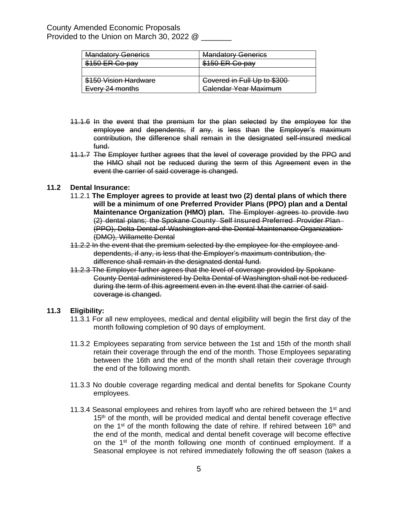| <b>Mandatory Generics</b> | <b>Mandatory Generics</b>    |
|---------------------------|------------------------------|
| \$150 ER Co-pay           | \$150 ER Co-pay              |
|                           |                              |
| \$150 Vision Hardware     | Covered in Full Up to \$300  |
| Every 24 months           | <b>Calendar Year Maximum</b> |

- 11.1.6 In the event that the premium for the plan selected by the employee for the employee and dependents, if any, is less than the Employer's maximum contribution, the difference shall remain in the designated self-insured medical fund.
- 11.1.7 The Employer further agrees that the level of coverage provided by the PPO and the HMO shall not be reduced during the term of this Agreement even in the event the carrier of said coverage is changed.

#### **11.2 Dental Insurance:**

- 11.2.1 **The Employer agrees to provide at least two (2) dental plans of which there will be a minimum of one Preferred Provider Plans (PPO) plan and a Dental Maintenance Organization (HMO) plan.** The Employer agrees to provide two (2) dental plans; the Spokane County Self Insured Preferred Provider Plan (PPO), Delta Dental of Washington and the Dental Maintenance Organization (DMO), Willamette Dental
- 11.2.2 In the event that the premium selected by the employee for the employee and dependents, if any, is less that the Employer's maximum contribution, the difference shall remain in the designated dental fund.
- 11.2.3 The Employer further agrees that the level of coverage provided by Spokane County Dental administered by Delta Dental of Washington shall not be reduced during the term of this agreement even in the event that the carrier of said coverage is changed.

#### **11.3 Eligibility:**

- 11.3.1 For all new employees, medical and dental eligibility will begin the first day of the month following completion of 90 days of employment.
- 11.3.2 Employees separating from service between the 1st and 15th of the month shall retain their coverage through the end of the month. Those Employees separating between the 16th and the end of the month shall retain their coverage through the end of the following month.
- 11.3.3 No double coverage regarding medical and dental benefits for Spokane County employees.
- 11.3.4 Seasonal employees and rehires from layoff who are rehired between the  $1<sup>st</sup>$  and 15<sup>th</sup> of the month, will be provided medical and dental benefit coverage effective on the 1<sup>st</sup> of the month following the date of rehire. If rehired between 16<sup>th</sup> and the end of the month, medical and dental benefit coverage will become effective on the 1<sup>st</sup> of the month following one month of continued employment. If a Seasonal employee is not rehired immediately following the off season (takes a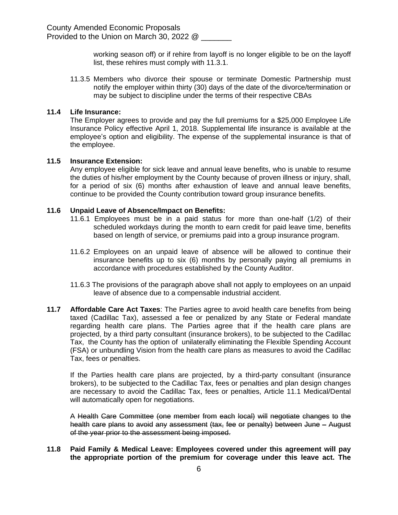working season off) or if rehire from layoff is no longer eligible to be on the layoff list, these rehires must comply with 11.3.1.

11.3.5 Members who divorce their spouse or terminate Domestic Partnership must notify the employer within thirty (30) days of the date of the divorce/termination or may be subject to discipline under the terms of their respective CBAs

#### **11.4 Life Insurance:**

The Employer agrees to provide and pay the full premiums for a \$25,000 Employee Life Insurance Policy effective April 1, 2018. Supplemental life insurance is available at the employee's option and eligibility. The expense of the supplemental insurance is that of the employee.

#### **11.5 Insurance Extension:**

Any employee eligible for sick leave and annual leave benefits, who is unable to resume the duties of his/her employment by the County because of proven illness or injury, shall, for a period of six (6) months after exhaustion of leave and annual leave benefits, continue to be provided the County contribution toward group insurance benefits.

#### **11.6 Unpaid Leave of Absence/Impact on Benefits:**

- 11.6.1 Employees must be in a paid status for more than one-half (1/2) of their scheduled workdays during the month to earn credit for paid leave time, benefits based on length of service, or premiums paid into a group insurance program.
- 11.6.2 Employees on an unpaid leave of absence will be allowed to continue their insurance benefits up to six (6) months by personally paying all premiums in accordance with procedures established by the County Auditor.
- 11.6.3 The provisions of the paragraph above shall not apply to employees on an unpaid leave of absence due to a compensable industrial accident.
- **11.7 Affordable Care Act Taxes**: The Parties agree to avoid health care benefits from being taxed (Cadillac Tax), assessed a fee or penalized by any State or Federal mandate regarding health care plans. The Parties agree that if the health care plans are projected, by a third party consultant (insurance brokers), to be subjected to the Cadillac Tax, the County has the option of unilaterally eliminating the Flexible Spending Account (FSA) or unbundling Vision from the health care plans as measures to avoid the Cadillac Tax, fees or penalties.

If the Parties health care plans are projected, by a third-party consultant (insurance brokers), to be subjected to the Cadillac Tax, fees or penalties and plan design changes are necessary to avoid the Cadillac Tax, fees or penalties, Article 11.1 Medical/Dental will automatically open for negotiations.

A Health Care Committee (one member from each local) will negotiate changes to the health care plans to avoid any assessment (tax, fee or penalty) between June - August of the year prior to the assessment being imposed.

#### **11.8 Paid Family & Medical Leave: Employees covered under this agreement will pay the appropriate portion of the premium for coverage under this leave act. The**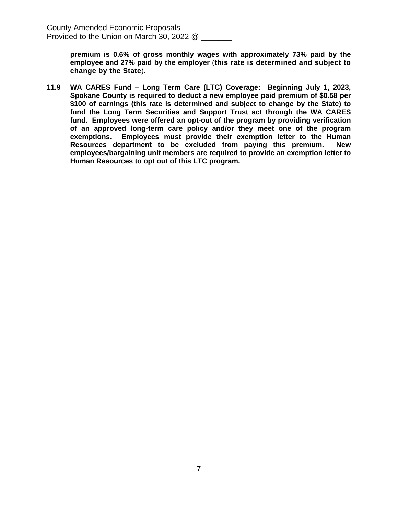> **premium is 0.6% of gross monthly wages with approximately 73% paid by the employee and 27% paid by the employer** (**this rate is determined and subject to change by the State**)**.**

**11.9 WA CARES Fund – Long Term Care (LTC) Coverage: Beginning July 1, 2023, Spokane County is required to deduct a new employee paid premium of \$0.58 per \$100 of earnings (this rate is determined and subject to change by the State) to fund the Long Term Securities and Support Trust act through the WA CARES fund. Employees were offered an opt-out of the program by providing verification of an approved long-term care policy and/or they meet one of the program exemptions. Employees must provide their exemption letter to the Human Resources department to be excluded from paying this premium. New employees/bargaining unit members are required to provide an exemption letter to Human Resources to opt out of this LTC program.**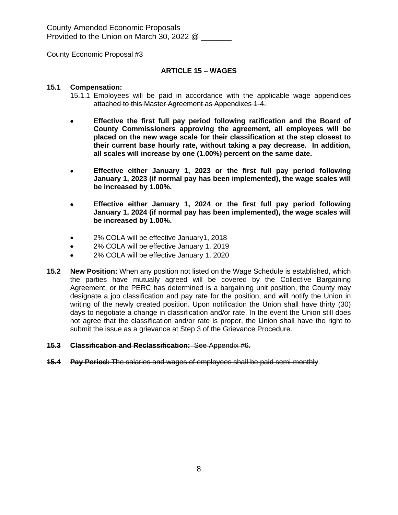County Economic Proposal #3

#### **ARTICLE 15 – WAGES**

#### **15.1 Compensation:**

- 15.1.1 Employees will be paid in accordance with the applicable wage appendices attached to this Master Agreement as Appendixes 1-4.
- **Effective the first full pay period following ratification and the Board of County Commissioners approving the agreement, all employees will be placed on the new wage scale for their classification at the step closest to their current base hourly rate, without taking a pay decrease. In addition, all scales will increase by one (1.00%) percent on the same date.**
- **Effective either January 1, 2023 or the first full pay period following January 1, 2023 (if normal pay has been implemented), the wage scales will be increased by 1.00%.**
- **Effective either January 1, 2024 or the first full pay period following January 1, 2024 (if normal pay has been implemented), the wage scales will be increased by 1.00%.**
- 2% COLA will be effective January1, 2018
- 2% COLA will be effective January 1, 2019
- 2% COLA will be effective January 1, 2020
- **15.2 New Position:** When any position not listed on the Wage Schedule is established, which the parties have mutually agreed will be covered by the Collective Bargaining Agreement, or the PERC has determined is a bargaining unit position, the County may designate a job classification and pay rate for the position, and will notify the Union in writing of the newly created position. Upon notification the Union shall have thirty (30) days to negotiate a change in classification and/or rate. In the event the Union still does not agree that the classification and/or rate is proper, the Union shall have the right to submit the issue as a grievance at Step 3 of the Grievance Procedure.

#### **15.3 Classification and Reclassification:** See Appendix #6.

**15.4 Pay Period:** The salaries and wages of employees shall be paid semi-monthly.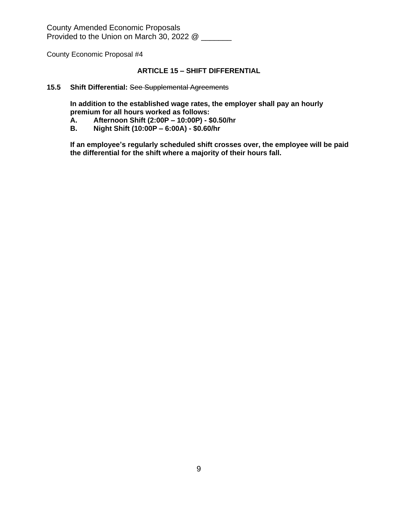County Economic Proposal #4

# **ARTICLE 15 – SHIFT DIFFERENTIAL**

#### **15.5 Shift Differential:** See Supplemental Agreements

**In addition to the established wage rates, the employer shall pay an hourly premium for all hours worked as follows:**

- **A. Afternoon Shift (2:00P – 10:00P) \$0.50/hr**
- **B. Night Shift (10:00P – 6:00A) \$0.60/hr**

**If an employee's regularly scheduled shift crosses over, the employee will be paid the differential for the shift where a majority of their hours fall.**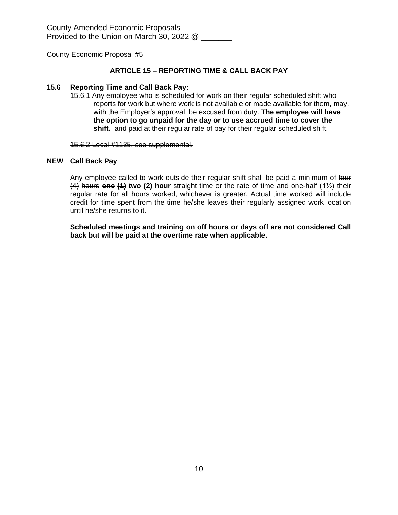#### **ARTICLE 15 – REPORTING TIME & CALL BACK PAY**

#### **15.6 Reporting Time and Call Back Pay:**

15.6.1 Any employee who is scheduled for work on their regular scheduled shift who reports for work but where work is not available or made available for them, may, with the Employer's approval, be excused from duty. **The employee will have the option to go unpaid for the day or to use accrued time to cover the shift.** and paid at their regular rate of pay for their regular scheduled shift.

15.6.2 Local #1135, see supplemental.

#### **NEW Call Back Pay**

Any employee called to work outside their regular shift shall be paid a minimum of four (4) hours **one (1) two (2) hour** straight time or the rate of time and one-half (1½) their regular rate for all hours worked, whichever is greater. Actual time worked will include credit for time spent from the time he/she leaves their regularly assigned work location until he/she returns to it.

**Scheduled meetings and training on off hours or days off are not considered Call back but will be paid at the overtime rate when applicable.**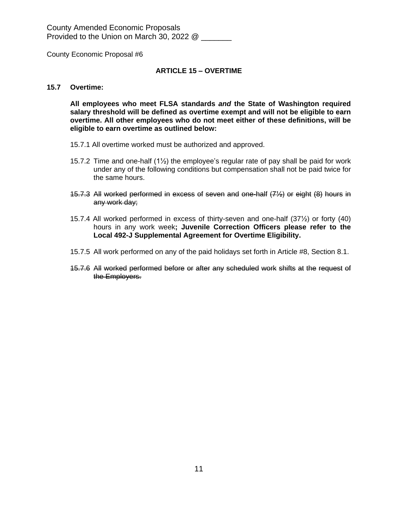County Economic Proposal #6

#### **ARTICLE 15 – OVERTIME**

#### **15.7 Overtime:**

**All employees who meet FLSA standards** *and* **the State of Washington required salary threshold will be defined as overtime exempt and will not be eligible to earn overtime. All other employees who do not meet either of these definitions, will be eligible to earn overtime as outlined below:**

- 15.7.1 All overtime worked must be authorized and approved.
- 15.7.2 Time and one-half  $(1/2)$  the employee's regular rate of pay shall be paid for work under any of the following conditions but compensation shall not be paid twice for the same hours.
- 15.7.3 All worked performed in excess of seven and one-half (7½) or eight (8) hours in any work day;
- 15.7.4 All worked performed in excess of thirty-seven and one-half (37½) or forty (40) hours in any work week**; Juvenile Correction Officers please refer to the Local 492-J Supplemental Agreement for Overtime Eligibility.**
- 15.7.5 All work performed on any of the paid holidays set forth in Article #8, Section 8.1.
- 15.7.6 All worked performed before or after any scheduled work shifts at the request of the Employers.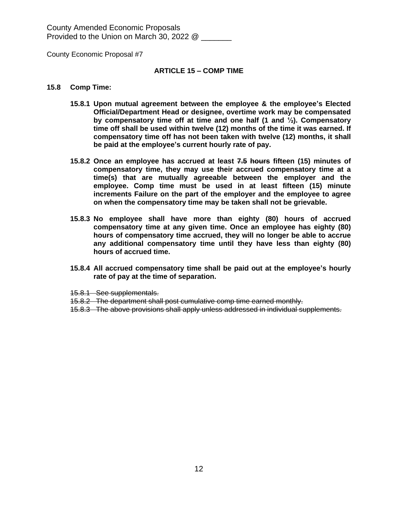County Economic Proposal #7

#### **ARTICLE 15 – COMP TIME**

#### **15.8 Comp Time:**

- **15.8.1 Upon mutual agreement between the employee & the employee's Elected Official/Department Head or designee, overtime work may be compensated by compensatory time off at time and one half (1 and ½). Compensatory time off shall be used within twelve (12) months of the time it was earned. If compensatory time off has not been taken with twelve (12) months, it shall be paid at the employee's current hourly rate of pay.**
- **15.8.2 Once an employee has accrued at least 7.5 hours fifteen (15) minutes of compensatory time, they may use their accrued compensatory time at a time(s) that are mutually agreeable between the employer and the employee. Comp time must be used in at least fifteen (15) minute increments Failure on the part of the employer and the employee to agree on when the compensatory time may be taken shall not be grievable.**
- **15.8.3 No employee shall have more than eighty (80) hours of accrued compensatory time at any given time. Once an employee has eighty (80) hours of compensatory time accrued, they will no longer be able to accrue any additional compensatory time until they have less than eighty (80) hours of accrued time.**
- **15.8.4 All accrued compensatory time shall be paid out at the employee's hourly rate of pay at the time of separation.**
- 15.8.1 See supplementals.
- 15.8.2 The department shall post cumulative comp time earned monthly.
- 15.8.3 The above provisions shall apply unless addressed in individual supplements.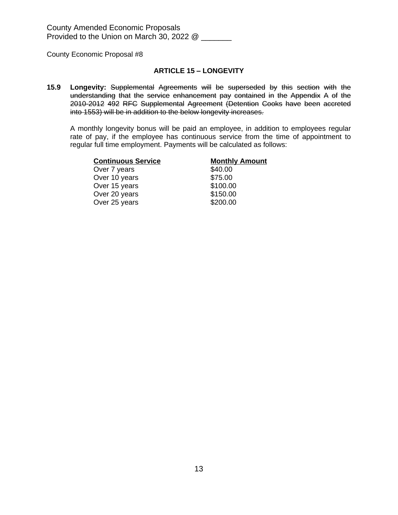#### **ARTICLE 15 – LONGEVITY**

**15.9 Longevity:** Supplemental Agreements will be superseded by this section with the understanding that the service enhancement pay contained in the Appendix A of the 2010-2012 492 RFC Supplemental Agreement (Detention Cooks have been accreted into 1553) will be in addition to the below longevity increases.

A monthly longevity bonus will be paid an employee, in addition to employees regular rate of pay, if the employee has continuous service from the time of appointment to regular full time employment. Payments will be calculated as follows:

| <b>Continuous Service</b> | <b>Monthly Amount</b> |
|---------------------------|-----------------------|
| Over 7 years              | \$40.00               |
| Over 10 years             | \$75.00               |
| Over 15 years             | \$100.00              |
| Over 20 years             | \$150.00              |
| Over 25 years             | \$200.00              |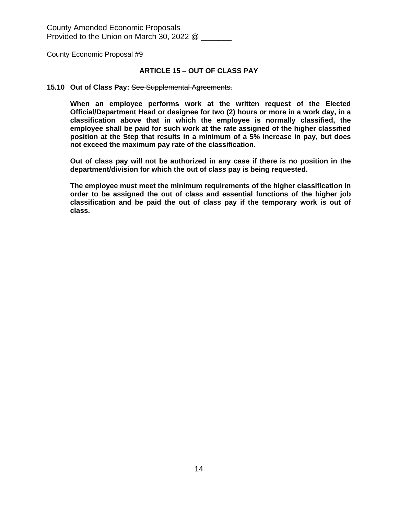#### **ARTICLE 15 – OUT OF CLASS PAY**

#### **15.10 Out of Class Pay:** See Supplemental Agreements.

**When an employee performs work at the written request of the Elected Official/Department Head or designee for two (2) hours or more in a work day, in a classification above that in which the employee is normally classified, the employee shall be paid for such work at the rate assigned of the higher classified position at the Step that results in a minimum of a 5% increase in pay, but does not exceed the maximum pay rate of the classification.**

**Out of class pay will not be authorized in any case if there is no position in the department/division for which the out of class pay is being requested.**

**The employee must meet the minimum requirements of the higher classification in order to be assigned the out of class and essential functions of the higher job classification and be paid the out of class pay if the temporary work is out of class.**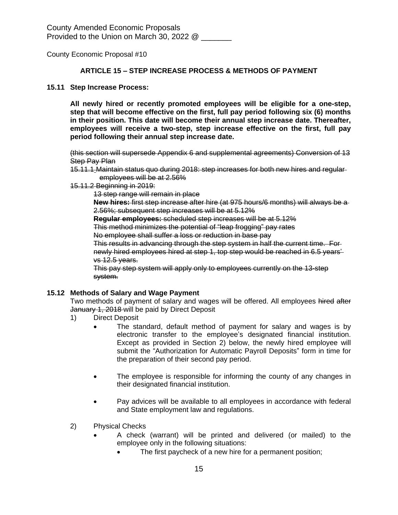#### **ARTICLE 15 – STEP INCREASE PROCESS & METHODS OF PAYMENT**

#### **15.11 Step Increase Process:**

**All newly hired or recently promoted employees will be eligible for a one-step, step that will become effective on the first, full pay period following six (6) months in their position. This date will become their annual step increase date. Thereafter, employees will receive a two-step, step increase effective on the first, full pay period following their annual step increase date.**

(this section will supersede Appendix 6 and supplemental agreements) Conversion of 13 **Step Pay Plan** 

- 15.11.1 Maintain status quo during 2018: step increases for both new hires and regular employees will be at 2.56%
- 15.11.2 Beginning in 2019:

13 step range will remain in place

**New hires:** first step increase after hire (at 975 hours/6 months) will always be a 2.56%; subsequent step increases will be at 5.12%

**Regular employees:** scheduled step increases will be at 5.12%

This method minimizes the potential of "leap frogging" pay rates

No employee shall suffer a loss or reduction in base pay

This results in advancing through the step system in half the current time. For newly hired employees hired at step 1, top step would be reached in 6.5 years' vs 12.5 years.

This pay step system will apply only to employees currently on the 13-step system.

#### **15.12 Methods of Salary and Wage Payment**

Two methods of payment of salary and wages will be offered. All employees hired after January 1, 2018 will be paid by Direct Deposit

- 1) Direct Deposit
	- The standard, default method of payment for salary and wages is by electronic transfer to the employee's designated financial institution. Except as provided in Section 2) below, the newly hired employee will submit the "Authorization for Automatic Payroll Deposits" form in time for the preparation of their second pay period.
	- The employee is responsible for informing the county of any changes in their designated financial institution.
	- Pay advices will be available to all employees in accordance with federal and State employment law and regulations.
- 2) Physical Checks
	- A check (warrant) will be printed and delivered (or mailed) to the employee only in the following situations:
		- The first paycheck of a new hire for a permanent position;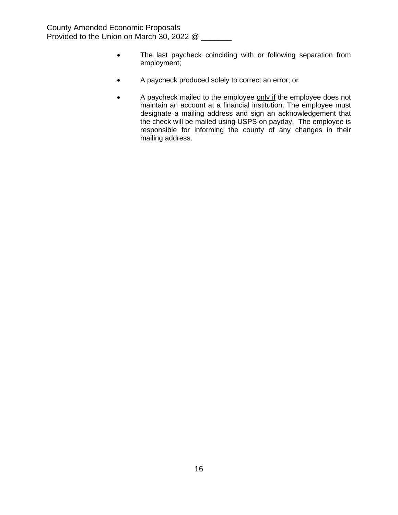- The last paycheck coinciding with or following separation from employment;
- A paycheck produced solely to correct an error; or
- A paycheck mailed to the employee only if the employee does not maintain an account at a financial institution. The employee must designate a mailing address and sign an acknowledgement that the check will be mailed using USPS on payday. The employee is responsible for informing the county of any changes in their mailing address.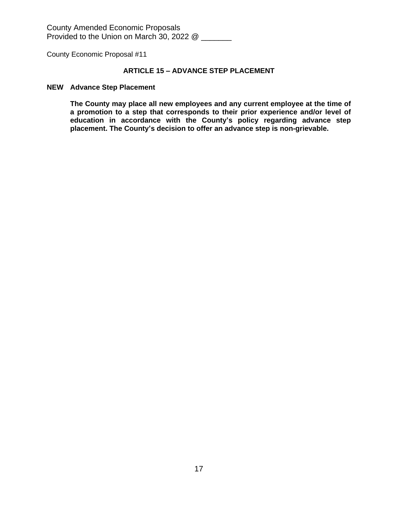County Economic Proposal #11

# **ARTICLE 15 – ADVANCE STEP PLACEMENT**

#### **NEW Advance Step Placement**

**The County may place all new employees and any current employee at the time of a promotion to a step that corresponds to their prior experience and/or level of education in accordance with the County's policy regarding advance step placement. The County's decision to offer an advance step is non-grievable.**